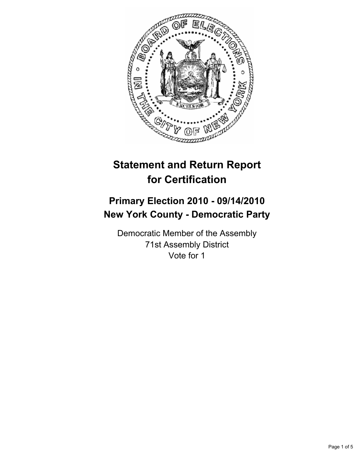

# **Statement and Return Report for Certification**

## **Primary Election 2010 - 09/14/2010 New York County - Democratic Party**

Democratic Member of the Assembly 71st Assembly District Vote for 1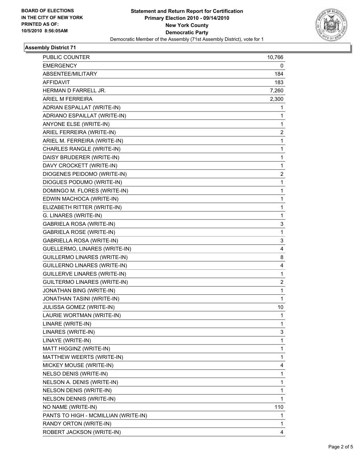

#### **Assembly District 71**

| <b>EMERGENCY</b><br>0<br>184<br>ABSENTEE/MILITARY<br>AFFIDAVIT<br>183<br>7,260<br>HERMAN D FARRELL JR.<br>ARIEL M FERREIRA<br>2,300<br>ADRIAN ESPALLAT (WRITE-IN)<br>1<br>ADRIANO ESPAILLAT (WRITE-IN)<br>1<br>ANYONE ELSE (WRITE-IN)<br>1<br>ARIEL FERREIRA (WRITE-IN)<br>$\overline{\mathbf{c}}$<br>ARIEL M. FERREIRA (WRITE-IN)<br>1<br>CHARLES RANGLE (WRITE-IN)<br>1<br>DAISY BRUDERER (WRITE-IN)<br>$\mathbf{1}$ |
|------------------------------------------------------------------------------------------------------------------------------------------------------------------------------------------------------------------------------------------------------------------------------------------------------------------------------------------------------------------------------------------------------------------------|
|                                                                                                                                                                                                                                                                                                                                                                                                                        |
|                                                                                                                                                                                                                                                                                                                                                                                                                        |
|                                                                                                                                                                                                                                                                                                                                                                                                                        |
|                                                                                                                                                                                                                                                                                                                                                                                                                        |
|                                                                                                                                                                                                                                                                                                                                                                                                                        |
|                                                                                                                                                                                                                                                                                                                                                                                                                        |
|                                                                                                                                                                                                                                                                                                                                                                                                                        |
|                                                                                                                                                                                                                                                                                                                                                                                                                        |
|                                                                                                                                                                                                                                                                                                                                                                                                                        |
|                                                                                                                                                                                                                                                                                                                                                                                                                        |
|                                                                                                                                                                                                                                                                                                                                                                                                                        |
|                                                                                                                                                                                                                                                                                                                                                                                                                        |
| DAVY CROCKETT (WRITE-IN)<br>1                                                                                                                                                                                                                                                                                                                                                                                          |
| DIOGENES PEIDOMO (WRITE-IN)<br>$\overline{c}$                                                                                                                                                                                                                                                                                                                                                                          |
| DIOGUES PODUMO (WRITE-IN)<br>$\mathbf{1}$                                                                                                                                                                                                                                                                                                                                                                              |
| DOMINGO M. FLORES (WRITE-IN)<br>1                                                                                                                                                                                                                                                                                                                                                                                      |
| EDWIN MACHOCA (WRITE-IN)<br>1                                                                                                                                                                                                                                                                                                                                                                                          |
| ELIZABETH RITTER (WRITE-IN)<br>$\mathbf{1}$                                                                                                                                                                                                                                                                                                                                                                            |
| G. LINARES (WRITE-IN)<br>$\mathbf 1$                                                                                                                                                                                                                                                                                                                                                                                   |
| <b>GABRIELA ROSA (WRITE-IN)</b><br>3                                                                                                                                                                                                                                                                                                                                                                                   |
| <b>GABRIELA ROSE (WRITE-IN)</b><br>$\mathbf{1}$                                                                                                                                                                                                                                                                                                                                                                        |
| GABRIELLA ROSA (WRITE-IN)<br>3                                                                                                                                                                                                                                                                                                                                                                                         |
| GUELLERMO, LINARES (WRITE-IN)<br>4                                                                                                                                                                                                                                                                                                                                                                                     |
| GUILLERMO LINARES (WRITE-IN)<br>8                                                                                                                                                                                                                                                                                                                                                                                      |
| GUILLERNO LINARES (WRITE-IN)<br>4                                                                                                                                                                                                                                                                                                                                                                                      |
| GUILLERVE LINARES (WRITE-IN)<br>1                                                                                                                                                                                                                                                                                                                                                                                      |
| 2<br><b>GUILTERMO LINARES (WRITE-IN)</b>                                                                                                                                                                                                                                                                                                                                                                               |
| JONATHAN BING (WRITE-IN)<br>1                                                                                                                                                                                                                                                                                                                                                                                          |
| JONATHAN TASINI (WRITE-IN)<br>1                                                                                                                                                                                                                                                                                                                                                                                        |
| JULISSA GOMEZ (WRITE-IN)<br>10                                                                                                                                                                                                                                                                                                                                                                                         |
| LAURIE WORTMAN (WRITE-IN)<br>1                                                                                                                                                                                                                                                                                                                                                                                         |
| LINARE (WRITE-IN)<br>1                                                                                                                                                                                                                                                                                                                                                                                                 |
| LINARES (WRITE-IN)<br>3                                                                                                                                                                                                                                                                                                                                                                                                |
| LINAYE (WRITE-IN)<br>1                                                                                                                                                                                                                                                                                                                                                                                                 |
| MATT HIGGINZ (WRITE-IN)<br>1                                                                                                                                                                                                                                                                                                                                                                                           |
| MATTHEW WEERTS (WRITE-IN)<br>1                                                                                                                                                                                                                                                                                                                                                                                         |
| MICKEY MOUSE (WRITE-IN)<br>4                                                                                                                                                                                                                                                                                                                                                                                           |
| 1<br>NELSO DENIS (WRITE-IN)                                                                                                                                                                                                                                                                                                                                                                                            |
| NELSON A. DENIS (WRITE-IN)<br>1                                                                                                                                                                                                                                                                                                                                                                                        |
| NELSON DENIS (WRITE-IN)<br>1                                                                                                                                                                                                                                                                                                                                                                                           |
| NELSON DENNIS (WRITE-IN)<br>1                                                                                                                                                                                                                                                                                                                                                                                          |
| NO NAME (WRITE-IN)<br>110                                                                                                                                                                                                                                                                                                                                                                                              |
| PANTS TO HIGH - MCMILLIAN (WRITE-IN)<br>1                                                                                                                                                                                                                                                                                                                                                                              |
| RANDY ORTON (WRITE-IN)<br>1                                                                                                                                                                                                                                                                                                                                                                                            |
| ROBERT JACKSON (WRITE-IN)<br>4                                                                                                                                                                                                                                                                                                                                                                                         |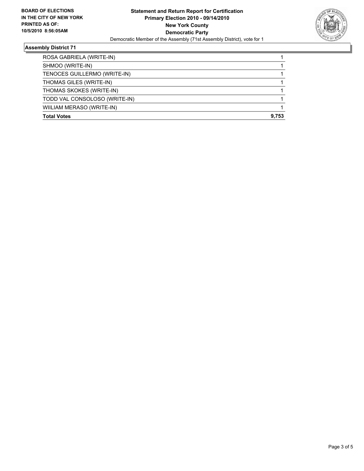

## **Assembly District 71**

| <b>Total Votes</b>            | 9.753 |
|-------------------------------|-------|
| WIILIAM MERASO (WRITE-IN)     |       |
| TODD VAL CONSOLOSO (WRITE-IN) |       |
| THOMAS SKOKES (WRITE-IN)      |       |
| THOMAS GILES (WRITE-IN)       |       |
| TENOCES GUILLERMO (WRITE-IN)  |       |
| SHMOO (WRITE-IN)              |       |
| ROSA GABRIELA (WRITE-IN)      |       |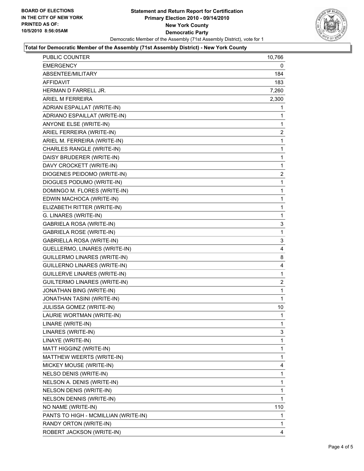

#### **Total for Democratic Member of the Assembly (71st Assembly District) - New York County**

| PUBLIC COUNTER                       | 10,766         |
|--------------------------------------|----------------|
| EMERGENCY                            | 0              |
| ABSENTEE/MILITARY                    | 184            |
| <b>AFFIDAVIT</b>                     | 183            |
| HERMAN D FARRELL JR.                 | 7,260          |
| ARIEL M FERREIRA                     | 2,300          |
| ADRIAN ESPALLAT (WRITE-IN)           | 1              |
| ADRIANO ESPAILLAT (WRITE-IN)         | 1              |
| ANYONE ELSE (WRITE-IN)               | 1              |
| ARIEL FERREIRA (WRITE-IN)            | 2              |
| ARIEL M. FERREIRA (WRITE-IN)         | 1              |
| CHARLES RANGLE (WRITE-IN)            | 1              |
| DAISY BRUDERER (WRITE-IN)            | 1              |
| DAVY CROCKETT (WRITE-IN)             | 1              |
| DIOGENES PEIDOMO (WRITE-IN)          | $\overline{a}$ |
| DIOGUES PODUMO (WRITE-IN)            | 1              |
| DOMINGO M. FLORES (WRITE-IN)         | 1              |
| EDWIN MACHOCA (WRITE-IN)             | 1              |
| ELIZABETH RITTER (WRITE-IN)          | 1              |
| G. LINARES (WRITE-IN)                | 1              |
| <b>GABRIELA ROSA (WRITE-IN)</b>      | 3              |
| <b>GABRIELA ROSE (WRITE-IN)</b>      | 1              |
| GABRIELLA ROSA (WRITE-IN)            | 3              |
| GUELLERMO, LINARES (WRITE-IN)        | 4              |
| GUILLERMO LINARES (WRITE-IN)         | 8              |
| GUILLERNO LINARES (WRITE-IN)         | 4              |
| <b>GUILLERVE LINARES (WRITE-IN)</b>  | 1              |
| GUILTERMO LINARES (WRITE-IN)         | 2              |
| JONATHAN BING (WRITE-IN)             | $\mathbf 1$    |
| JONATHAN TASINI (WRITE-IN)           | 1              |
| JULISSA GOMEZ (WRITE-IN)             | 10             |
| LAURIE WORTMAN (WRITE-IN)            | 1              |
| LINARE (WRITE-IN)                    | 1              |
| LINARES (WRITE-IN)                   | 3              |
| LINAYE (WRITE-IN)                    | 1              |
| MATT HIGGINZ (WRITE-IN)              | 1              |
| MATTHEW WEERTS (WRITE-IN)            | 1              |
| MICKEY MOUSE (WRITE-IN)              | 4              |
| NELSO DENIS (WRITE-IN)               | 1              |
| NELSON A. DENIS (WRITE-IN)           | 1              |
| NELSON DENIS (WRITE-IN)              | 1              |
| NELSON DENNIS (WRITE-IN)             | 1              |
| NO NAME (WRITE-IN)                   | 110            |
| PANTS TO HIGH - MCMILLIAN (WRITE-IN) | 1              |
| RANDY ORTON (WRITE-IN)               | 1              |
| ROBERT JACKSON (WRITE-IN)            | 4              |